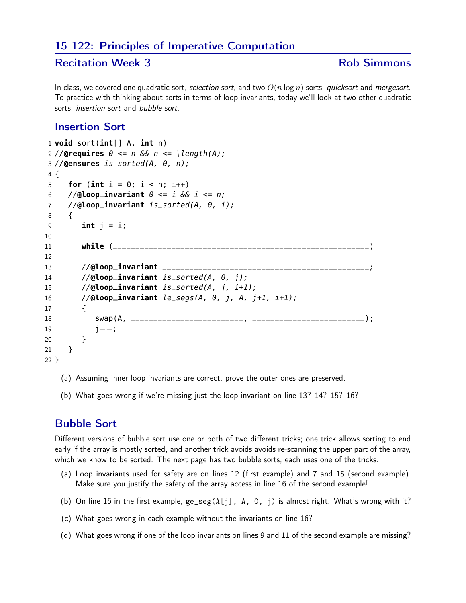# 15-122: Principles of Imperative Computation

### Recitation Week 3 and 2008 and 2008 and 2008 and 2008 and 2008 and 2008 and 2008 and 2008 and 2008 and 2008 and 2008 and 2008 and 2008 and 2008 and 2008 and 2008 and 2008 and 2008 and 2008 and 2008 and 2008 and 2008 and 20

In class, we covered one quadratic sort, selection sort, and two  $O(n \log n)$  sorts, quicksort and mergesort. To practice with thinking about sorts in terms of loop invariants, today we'll look at two other quadratic sorts, insertion sort and bubble sort.

### Insertion Sort

```
1 void sort(int[] A, int n)
2 //@requires \theta \le n & n \le \lceil \frac{length(A)}{1} \rceil3 //@ensures is_sorted(A, 0, n);
4 {
5 for (int i = 0; i < n; i++)6 //@loop_invariant \theta \leq i & i \leq n;
7 //@loop_invariant is_sorted(A, 0, i);
8 {
9 int j = i;
10
11 while (_________________________________________________________)
12
13 //@loop_invariant ______________________________________________;
14 //@loop_invariant is_sorted(A, 0, j);
15 //@loop_invariant is_sorted(A, j, i+1);
16 //@loop_invariant le_segs(A, 0, j, A, j+1, i+1);
17 {
18 swap(A, _________________________, _________________________);
19 j−−;
20 }
21 }
22 }
```
- (a) Assuming inner loop invariants are correct, prove the outer ones are preserved.
- (b) What goes wrong if we're missing just the loop invariant on line 13? 14? 15? 16?

## Bubble Sort

Different versions of bubble sort use one or both of two different tricks; one trick allows sorting to end early if the array is mostly sorted, and another trick avoids avoids re-scanning the upper part of the array, which we know to be sorted. The next page has two bubble sorts, each uses one of the tricks.

- (a) Loop invariants used for safety are on lines 12 (first example) and 7 and 15 (second example). Make sure you justify the safety of the array access in line 16 of the second example!
- (b) On line 16 in the first example, ge\_seg(A[j], A, 0, j) is almost right. What's wrong with it?
- (c) What goes wrong in each example without the invariants on line 16?
- (d) What goes wrong if one of the loop invariants on lines 9 and 11 of the second example are missing?